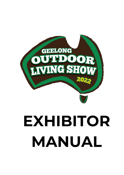

# EXHIBITOR MANUAL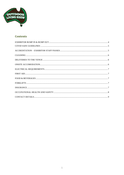![](_page_1_Picture_0.jpeg)

# **Contents**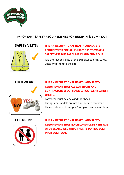![](_page_2_Picture_0.jpeg)

# **IMPORTANT SAFETY REQUIREMENTS FOR BUMP IN & BUMP OUT**

![](_page_2_Picture_3.jpeg)

# **SAFETY VESTS: IT IS AN OCCUPATIONAL HEALTH AND SAFETY REQUIREMENT FOR ALL EXHIBITIORS TO WEAR A SAFETY VEST DURING BUMP IN AND BUMP OUT.**

It is the responsibility of the Exhibitor to bring safety vests with them to the site.

![](_page_2_Picture_7.jpeg)

# **FOOTWEAR: IT IS AN OCCUPATIONAL HEALTH AND SAFETY REQUIREMENT THAT ALL EXHIBITORS AND CONTRACTORS WEAR SENSIBLE FOOTWEAR WHILST ONSITE.**

Footwear must be enclosed toe shoes. Thongs and sandals are not appropriate footwear. This is inclusive of bump in/bump out and event days.

![](_page_2_Picture_11.jpeg)

**CHILDREN: IT IS AN OCCUPATIONAL HEALTH AND SAFETY REQUIREMENT THAT NO CHILDREN UNDER THE AGE OF 16 BE ALLOWED ONTO THE SITE DURING BUMP IN OR BUMP OUT.**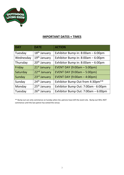![](_page_3_Picture_0.jpeg)

# **IMPORTANT DATES + TIMES**

| <b>DAY</b> | <b>DATE</b>              | <b>ACTION</b>                           |  |
|------------|--------------------------|-----------------------------------------|--|
| Tuesday    | 18 <sup>th</sup> January | Exhibitor Bump in: $8:00$ am $-6:00$ pm |  |
| Wednesday  | 19 <sup>th</sup> January | Exhibitor Bump in: $8:00$ am $-6:00$ pm |  |
| Thursday   | 20 <sup>th</sup> January | Exhibitor Bump in: 8:00am - 6:00pm      |  |
| Friday     | 21 <sup>st</sup> January | <b>EVENT DAY (9:00am - 5:00pm)</b>      |  |
| Saturday   | 22 <sup>nd</sup> January | <b>EVENT DAY (9:00am - 5:00pm)</b>      |  |
| Sunday     | 23rd January             | EVENT DAY (9:00am - 4:00pm)             |  |
| Sunday     | 24 <sup>th</sup> January | Exhibitor Bump Out from 4:30pm**        |  |
| Monday     | 25 <sup>th</sup> January | Exhibitor Bump Out: 7:00am - 6:00pm     |  |
| Tuesday    | 26 <sup>th</sup> January | Exhibitor Bump Out: 7:00am - 6:00pm     |  |

\*\* Bump out can only commence on Sunday when ALL patrons have left the event site. Bump out WILL NOT commence until the last patron has exited the venue.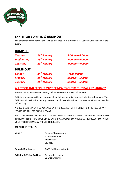![](_page_4_Picture_0.jpeg)

# <span id="page-4-0"></span>**EXHIBITOR BUMP IN & BUMP OUT**

The organisers office at the venue will be attended from 8.00am on 18<sup>th</sup> January until the end of the event.

# **BUMP IN:**

| 18 <sup>th</sup> January | $8:00$ am – 6:00pm |  |
|--------------------------|--------------------|--|
| 19 <sup>th</sup> January | $8:00$ am - 6:00pm |  |
| 20 <sup>th</sup> January | $8:00$ am - 6:00pm |  |
|                          |                    |  |
| 24 <sup>th</sup> January | From 4:30pm        |  |
| 25 <sup>th</sup> January | $8:00$ am - 6:00pm |  |
| 26 <sup>th</sup> January | $8:00$ am - 6:00pm |  |
|                          |                    |  |

# **ALL STOCK AND FREIGHT MUST BE MOVED OUT BY TUESDAY 26th JANUARY**

Security will be on site from Tuesday 18<sup>th</sup> January Until Tuesday 26<sup>th</sup> January.

Exhibitors are responsible for removing all exhibit and material from their site during bump out. The Exhibitors will be invoiced for any removal costs for remaining items or materials left onsite after the 26<sup>th</sup> January.

NO RESPONSIBILITY WILL BE ACCEPTED BY THE ORGANISER OR THE VENUE FOR THE LOSS OF ANY ITEMS THAT ARE LEFT ON YOUR STAND.

YOU MUST ENSURE THE ABOVE TIMES ARE COMMUNICATED TO FREIGHT COMPANIES CONTRACTED TO PICKUP ITEMS FROM YOUR STAND ENSURING A MEMBER OF YOUR STAFF IS PRESENT FOR WHEN YOUR FREIGHT COMPANY ARRIVES TO COLLECT.

# **VENUE DETAILS**

| <b>VENUE:</b>                           | Geelong Showgrounds<br>77 Breakwater Rd<br><b>Breakwater</b><br><b>VIC 3219</b> |
|-----------------------------------------|---------------------------------------------------------------------------------|
| <b>Bump In/Out Access:</b>              | GATE 2 off Breakwater Rd.                                                       |
| <b>Exhibitor &amp; Visitor Parking:</b> | Geelong Racecourse<br>99 Breakwater Rd                                          |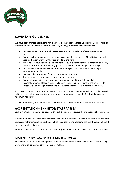![](_page_5_Picture_0.jpeg)

# <span id="page-5-0"></span>**COVID SAFE GUIDELINES**

We have been granted approval to run the event by the Victorian State Government, please help us comply with the Covid Safe Plan for the event by helping us with the below measures:

- **Please ensure ALL staff are fully vaccinated and can provide certificate upon Bump In entry.**
- Please check in upon entering the venue using our QR code system. **All exhibitor staff will need to check in every day they are on site at the venue.**
- Please review your site set up and ensure that you allow sufficient room for social distancing within your footprint. Consider any queuing or gathering areas and plan accordingly.
- Ensure you have cashless payment options where possible and have minimized high frequency touchpoints.
- Clean any high touch areas frequently throughout the event.
- Have hand sanitizer available for your staff and customers.
- Please follow any directions from our Covid Manager and Covid Safe marshals
- Ensure the wearing of face masks is in line with the current directions of the Chief Health Officer. We also strongly recommend mask wearing for those in customer facing roles.

A GTR Events Exhibitor & Sponsor activation COVID requirements document will be provided to each Exhibitor prior to the Event, which will run through the companies overall COVID safety plan and minimum standards.

If Covid rules are adjusted by the DHHS, an updated list of requirements will be sent at that time.

# <span id="page-5-1"></span>**ACCREDITATION – EXHIBITOR STAFF PASSES**

Each exhibiting company will be issued with exhibition passes to access the site outside of event hours.

No staff member/s will be admitted into the Showgrounds outside of event hours without an exhibitor pass. Any staff member/s without an exhibitor pass requesting access to the event outside of event hours will be denied entry.

Additional exhibition passes can be purchased for \$10 per pass – to be paid by credit card at the event.

#### **IMPORTANT - PICK UP LOCATION FOR EXHIBITOR STAFF BADGES**

All exhibitor staff passes must be picked up onsite during bump in from the Geelong Outdoor Living Show onsite office located at the info center / office.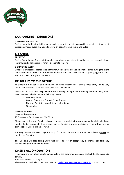![](_page_6_Picture_0.jpeg)

# **CAR PARKING - EXHIBITORS**

#### **DURING BUMP IN & OUT:**

During bump in & out, exhibitors may park as close to the site as possible or as directed by event personnel. Please avoid driving and parking on pedestrian walkways and aisles.

# <span id="page-6-0"></span>**CLEANING**

#### **PRE EVENT:**

During Bump In and Bump-out, if you have cardboard and other items that can be recycled, please leave flat packed in neat piles for our cleaners to remove.

#### **DURING THE EVENT:**

Exhibitors are responsible for keeping their own trade sites clean and tidy at all times during the event and are reminded to use bins located around the precinct to dispose of rubbish, packaging, food scraps and recyclables throughout the event.

# <span id="page-6-1"></span>**DELIVERIES TO THE VENUE**

All exhibitors must adhere to the bump in and bump out schedule. Delivery times, entry and delivery points and any other conditions that apply are listed below.

Please ensure each item despatched to the Geelong Showgrounds / Geelong Outdoor Living Show Event has been labelled with the following details:

- Company Name
- Contact Person and Contact Phone Number
- Name of Event (Geelong Outdoor Living Show)
- Site number

#### **Delivery Address:**

Geelong Showgrounds 77 Breakwater Rd, Breakwater, VIC 3219

Please ensure that your freight delivery company is supplied with your name and mobile telephone number to be contacted when product arrives to sign and accept delivery. This will ensure no deliveries are unable to be delivered.

For freight delivery on event days, the drop off point will be at the Gate 2 and each delivery **MUST** be met by the Exhibitor.

**The Geelong Outdoor Living Show will not sign for or accept any deliveries nor take any responsibility for undelivered items.** 

# <span id="page-6-2"></span>**ONSITE ACCOMODATION**

If there are any Exhibitors wish to camp onsite at the Showgrounds, please contact the Showgrounds directly.

Sites are \$25.00 + GST a night

Please contact Michelle at the Showgrounds: [michelle@royalgeelongshow.org.au](mailto:michelle@royalgeelongshow.org.au) - 03 5221 1707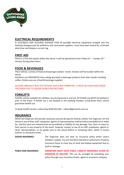![](_page_7_Picture_0.jpeg)

# <span id="page-7-0"></span>**ELECTRICAL REQUIREMENTS**

In accordance with Australian Standard 3760 all portable electrical equipment brought into the Geelong Showgrounds by exhibitors and contracted suppliers, must have been tested by a licensed electrician and display a current tag.

# <span id="page-7-1"></span>**FIRST AID**

There is a First Aid station within the venue. It will be operational from Friday 21<sup>st</sup> – Sunday 23<sup>rd</sup> January during event hours.

# <span id="page-7-2"></span>**FOOD & BEVERAGES**

There will be a variety of food and beverage vendors' onsite. Vendors will be located within the venue.

Exhibitors are PROHIBITED from selling any food or beverage products from their stands including coffee. (Unless you are a food & beverage supplier)

ALCOHOL BROUGHT INTO THE FESTIVAL HUB IS NOT PERMITTED. IT MUST BE PURCHASED INSIDE THE VENUE DUE TO LIQUOR LICENCE RESTRICTIONS.

# <span id="page-7-3"></span>**FORKLIFTS**

Forklifts will be available for exhibitor use during bump in and out. All forklift use MUST be booked in prior to the event. If forklift use is not booked in the Geelong Outdoor Living Show team cannot guarantee forklift use.

To book forklift contact. Callum Ray 0438 923 056 – callum@gtrevents.com.au

# <span id="page-7-4"></span>**INSURANCE**

Whilst the Organiser will provide necessary security during the festival, neither the Organiser nor the Venue or any of their staff, employees, agents or representatives shall be held accountable for or liable for, and the same are released from accountability or liability for any damage, loss, harm or injury to their person or any property of the event, however caused, or any of its staff, employees, agents or other representatives, or for goods sent to the venue before or remaining after, whilst in transit to/from or during the event.

- **GOODS INSURANCE:** The Organiser does not have an insurance policy which covers exhibitor's goods. You are therefore advised to extend your Property Insurance Policy to cover loss of stock and display equipment due to theft or damage.
- **PUBLIC RISK INSURANCE: EXHIBITORS MUST HAVE PUBLIC LIABILITY INSURANCE COVER OF MINIMUM \$5 MILLION.** This can be arranged by extending your policy through your insurance broker, agent or insurance company.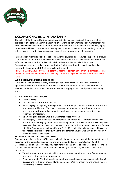![](_page_8_Picture_0.jpeg)

# <span id="page-8-0"></span>**OCCUPATIONAL HEALTH AND SAFETY**

The policy of the Geelong Outdoor Living Show is that all persons onsite at the event shall be provided with a safe and healthy place in which to work. To achieve this policy, management will make every reasonable effort in areas of accident prevention, hazard control and removal, injury protection and health preservation to every practical extent. These aspects of working conditions will be given top priority in company plans, procedures, programs and job instruction.

In conjunction with this policy, a series of safe working rules and procedures on specific individual safety and health matters has been established and is included in this manual section. Health and safety at an event is both an individual and shared responsibility of all Exhibitors and Contractors, thereby providing opportunities for Exhibitor participation to raise and resolve issues with the appointed OHS officer onsite at the event.

REPORT THAT HAZARD! - If you see a potential hazard or something you think is dangerous, please immediately contact a member of the Geelong Outdoor Living Show team so we can resolve the

## issue.

## **WORKING ENVIRONMENT & INDUCTION**

Our event is the workplace of many other organizations and they will often have their own operating procedures in addition to these basic health and safety rules. Each Exhibitor must be aware of, and follow at all times, the procedures, which apply, to each workplace in which they work.

#### **BASIC HEALTH AND SAFETY RULES**

- Observe all signs.
- Keep Guards and Barricades in Place
- A warning sign, danger tag, safety guard or barricade is put there to ensure your protection from recognized hazards. This rule is necessary to protect everyone. Do not remove or override any existing guarding or barricades. If you see this happen, report it to your supervisor immediately.
- No Smoking in buildings. Smoke in Designated Areas Provided
- No Horseplay Serious injuries and incidents can and often do result from horseplay or practical jokes. Horseplay sometimes involves equipment at the workplace, which may never have been designed for the uses it has been put to, and serious accidents may result. Section 25, of the Occupational Health and Safety Act 1985; require that all employees of businesses take responsible care for their own health and safety of anyone who may be affected by his or her own acts or omissions.

## **TAKE PRECAUTIONS FOR OUTDOOR SAFETY**

Personal protective equipment (PPE) forms a barrier between the person and the immediate hazard. designed for the uses it has been put to, and serious accidents may result. Section 25, of the Occupational Health and Safety Act 1985; require that all employees of businesses take responsible care for their own health and safety of anyone who may be affected by his or her own acts or omissions.

- Take Fire safety precautions Exhibitors should ensure that aisle ways and fire escapes are free from obstruction by your own doing.
- Wear appropriate PPE (high vis, closed toe shoes, long sleeves or sunscreen if outside etc)
- Observe and work safely around Plant equipment Wear your high vis and ensure you are easily visible to plant operators.